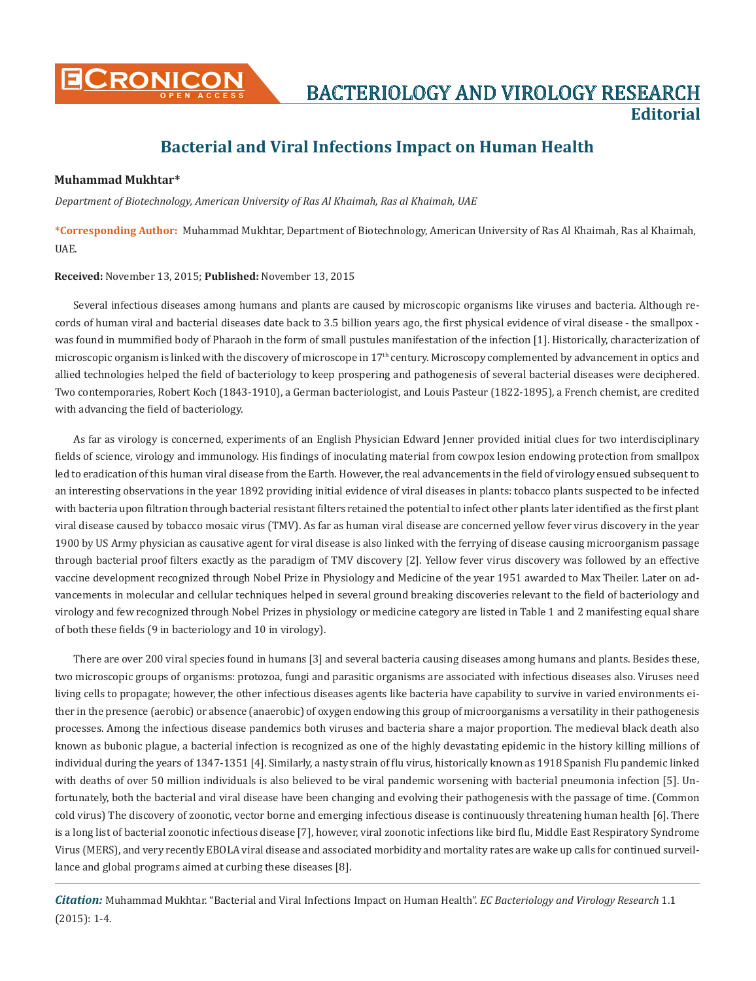

## **Bacterial and Viral Infections Impact on Human Health**

## **Muhammad Mukhtar\***

*Department of Biotechnology, American University of Ras Al Khaimah, Ras al Khaimah, UAE*

**\*Corresponding Author:** Muhammad Mukhtar, Department of Biotechnology, American University of Ras Al Khaimah, Ras al Khaimah, UAE.

**Received:** November 13, 2015; **Published:** November 13, 2015

Several infectious diseases among humans and plants are caused by microscopic organisms like viruses and bacteria. Although records of human viral and bacterial diseases date back to 3.5 billion years ago, the first physical evidence of viral disease - the smallpox was found in mummified body of Pharaoh in the form of small pustules manifestation of the infection [1]. Historically, characterization of microscopic organism is linked with the discovery of microscope in 17<sup>th</sup> century. Microscopy complemented by advancement in optics and allied technologies helped the field of bacteriology to keep prospering and pathogenesis of several bacterial diseases were deciphered. Two contemporaries, Robert Koch (1843-1910), a German bacteriologist, and Louis Pasteur (1822-1895), a French chemist, are credited with advancing the field of bacteriology.

As far as virology is concerned, experiments of an English Physician Edward Jenner provided initial clues for two interdisciplinary fields of science, virology and immunology. His findings of inoculating material from cowpox lesion endowing protection from smallpox led to eradication of this human viral disease from the Earth. However, the real advancements in the field of virology ensued subsequent to an interesting observations in the year 1892 providing initial evidence of viral diseases in plants: tobacco plants suspected to be infected with bacteria upon filtration through bacterial resistant filters retained the potential to infect other plants later identified as the first plant viral disease caused by tobacco mosaic virus (TMV). As far as human viral disease are concerned yellow fever virus discovery in the year 1900 by US Army physician as causative agent for viral disease is also linked with the ferrying of disease causing microorganism passage through bacterial proof filters exactly as the paradigm of TMV discovery [2]. Yellow fever virus discovery was followed by an effective vaccine development recognized through Nobel Prize in Physiology and Medicine of the year 1951 awarded to Max Theiler. Later on advancements in molecular and cellular techniques helped in several ground breaking discoveries relevant to the field of bacteriology and virology and few recognized through Nobel Prizes in physiology or medicine category are listed in Table 1 and 2 manifesting equal share of both these fields (9 in bacteriology and 10 in virology).

There are over 200 viral species found in humans [3] and several bacteria causing diseases among humans and plants. Besides these, two microscopic groups of organisms: protozoa, fungi and parasitic organisms are associated with infectious diseases also. Viruses need living cells to propagate; however, the other infectious diseases agents like bacteria have capability to survive in varied environments either in the presence (aerobic) or absence (anaerobic) of oxygen endowing this group of microorganisms a versatility in their pathogenesis processes. Among the infectious disease pandemics both viruses and bacteria share a major proportion. The medieval black death also known as bubonic plague, a bacterial infection is recognized as one of the highly devastating epidemic in the history killing millions of individual during the years of 1347-1351 [4]. Similarly, a nasty strain of flu virus, historically known as 1918 Spanish Flu pandemic linked with deaths of over 50 million individuals is also believed to be viral pandemic worsening with bacterial pneumonia infection [5]. Unfortunately, both the bacterial and viral disease have been changing and evolving their pathogenesis with the passage of time. (Common cold virus) The discovery of zoonotic, vector borne and emerging infectious disease is continuously threatening human health [6]. There is a long list of bacterial zoonotic infectious disease [7], however, viral zoonotic infections like bird flu, Middle East Respiratory Syndrome Virus (MERS), and very recently EBOLA viral disease and associated morbidity and mortality rates are wake up calls for continued surveillance and global programs aimed at curbing these diseases [8].

*Citation:* Muhammad Mukhtar. "Bacterial and Viral Infections Impact on Human Health". *EC Bacteriology and Virology Research* 1.1 (2015): 1-4.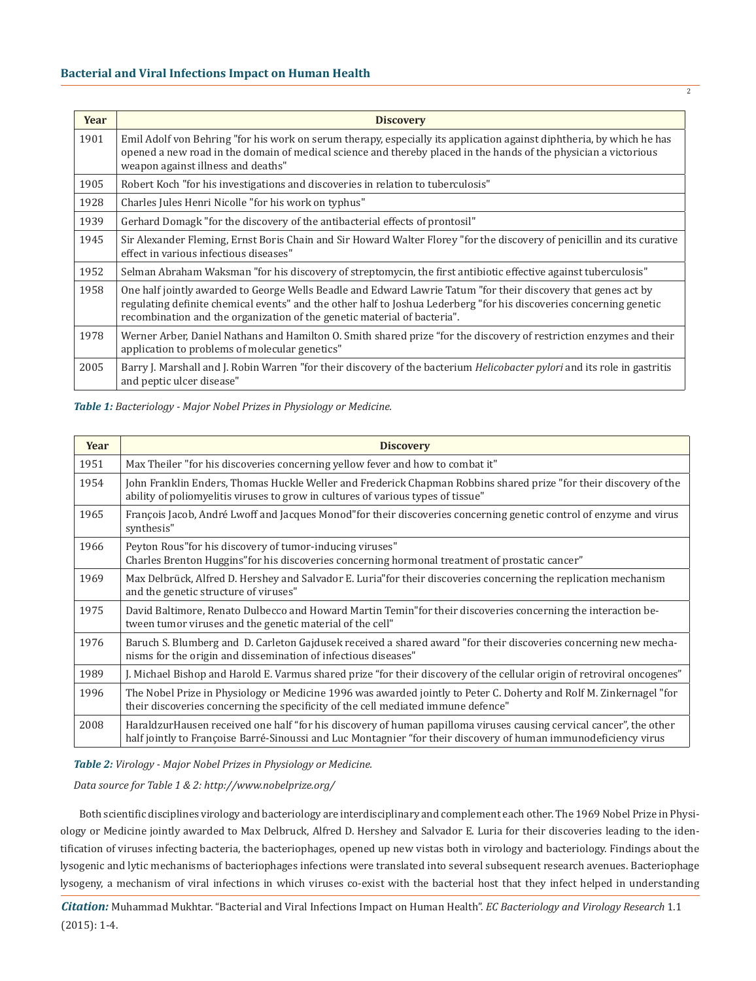| Year | <b>Discovery</b>                                                                                                                                                                                                                                                                                                  |
|------|-------------------------------------------------------------------------------------------------------------------------------------------------------------------------------------------------------------------------------------------------------------------------------------------------------------------|
| 1901 | Emil Adolf von Behring "for his work on serum therapy, especially its application against diphtheria, by which he has<br>opened a new road in the domain of medical science and thereby placed in the hands of the physician a victorious<br>weapon against illness and deaths"                                   |
| 1905 | Robert Koch "for his investigations and discoveries in relation to tuberculosis"                                                                                                                                                                                                                                  |
| 1928 | Charles Jules Henri Nicolle "for his work on typhus"                                                                                                                                                                                                                                                              |
| 1939 | Gerhard Domagk "for the discovery of the antibacterial effects of prontosil"                                                                                                                                                                                                                                      |
| 1945 | Sir Alexander Fleming, Ernst Boris Chain and Sir Howard Walter Florey "for the discovery of penicillin and its curative<br>effect in various infectious diseases"                                                                                                                                                 |
| 1952 | Selman Abraham Waksman "for his discovery of streptomycin, the first antibiotic effective against tuberculosis"                                                                                                                                                                                                   |
| 1958 | One half jointly awarded to George Wells Beadle and Edward Lawrie Tatum "for their discovery that genes act by<br>regulating definite chemical events" and the other half to Joshua Lederberg "for his discoveries concerning genetic<br>recombination and the organization of the genetic material of bacteria". |
| 1978 | Werner Arber, Daniel Nathans and Hamilton O. Smith shared prize "for the discovery of restriction enzymes and their<br>application to problems of molecular genetics"                                                                                                                                             |
| 2005 | Barry J. Marshall and J. Robin Warren "for their discovery of the bacterium <i>Helicobacter pylori</i> and its role in gastritis<br>and peptic ulcer disease"                                                                                                                                                     |

2

*Table 1: Bacteriology - Major Nobel Prizes in Physiology or Medicine.*

| Year | <b>Discovery</b>                                                                                                                                                                                                                         |
|------|------------------------------------------------------------------------------------------------------------------------------------------------------------------------------------------------------------------------------------------|
| 1951 | Max Theiler "for his discoveries concerning yellow fever and how to combat it"                                                                                                                                                           |
| 1954 | John Franklin Enders, Thomas Huckle Weller and Frederick Chapman Robbins shared prize "for their discovery of the<br>ability of poliomyelitis viruses to grow in cultures of various types of tissue"                                    |
| 1965 | François Jacob, André Lwoff and Jacques Monod" for their discoveries concerning genetic control of enzyme and virus<br>synthesis"                                                                                                        |
| 1966 | Peyton Rous" for his discovery of tumor-inducing viruses"<br>Charles Brenton Huggins" for his discoveries concerning hormonal treatment of prostatic cancer"                                                                             |
| 1969 | Max Delbrück, Alfred D. Hershey and Salvador E. Luria for their discoveries concerning the replication mechanism<br>and the genetic structure of viruses"                                                                                |
| 1975 | David Baltimore, Renato Dulbecco and Howard Martin Temin" for their discoveries concerning the interaction be-<br>tween tumor viruses and the genetic material of the cell"                                                              |
| 1976 | Baruch S. Blumberg and D. Carleton Gajdusek received a shared award "for their discoveries concerning new mecha-<br>nisms for the origin and dissemination of infectious diseases"                                                       |
| 1989 | J. Michael Bishop and Harold E. Varmus shared prize "for their discovery of the cellular origin of retroviral oncogenes"                                                                                                                 |
| 1996 | The Nobel Prize in Physiology or Medicine 1996 was awarded jointly to Peter C. Doherty and Rolf M. Zinkernagel "for<br>their discoveries concerning the specificity of the cell mediated immune defence"                                 |
| 2008 | Haraldzur Hausen received one half "for his discovery of human papilloma viruses causing cervical cancer", the other<br>half jointly to Françoise Barré-Sinoussi and Luc Montagnier "for their discovery of human immunodeficiency virus |

*Table 2: Virology - Major Nobel Prizes in Physiology or Medicine.*

*Data source for Table 1 & 2: http://www.nobelprize.org/*

Both scientific disciplines virology and bacteriology are interdisciplinary and complement each other. The 1969 Nobel Prize in Physiology or Medicine jointly awarded to Max Delbruck, Alfred D. Hershey and Salvador E. Luria for their discoveries leading to the identification of viruses infecting bacteria, the bacteriophages, opened up new vistas both in virology and bacteriology. Findings about the lysogenic and lytic mechanisms of bacteriophages infections were translated into several subsequent research avenues. Bacteriophage lysogeny, a mechanism of viral infections in which viruses co-exist with the bacterial host that they infect helped in understanding

*Citation:* Muhammad Mukhtar. "Bacterial and Viral Infections Impact on Human Health". *EC Bacteriology and Virology Research* 1.1 (2015): 1-4.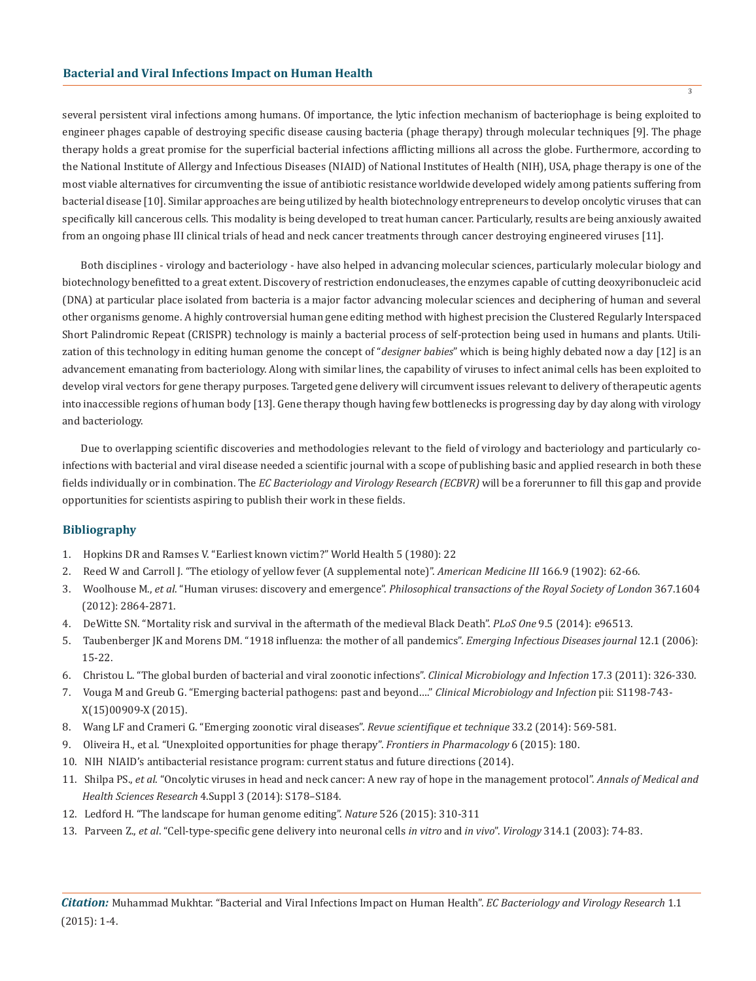several persistent viral infections among humans. Of importance, the lytic infection mechanism of bacteriophage is being exploited to engineer phages capable of destroying specific disease causing bacteria (phage therapy) through molecular techniques [9]. The phage therapy holds a great promise for the superficial bacterial infections afflicting millions all across the globe. Furthermore, according to the National Institute of Allergy and Infectious Diseases (NIAID) of National Institutes of Health (NIH), USA, phage therapy is one of the most viable alternatives for circumventing the issue of antibiotic resistance worldwide developed widely among patients suffering from bacterial disease [10]. Similar approaches are being utilized by health biotechnology entrepreneurs to develop oncolytic viruses that can specifically kill cancerous cells. This modality is being developed to treat human cancer. Particularly, results are being anxiously awaited from an ongoing phase III clinical trials of head and neck cancer treatments through cancer destroying engineered viruses [11].

Both disciplines - virology and bacteriology - have also helped in advancing molecular sciences, particularly molecular biology and biotechnology benefitted to a great extent. Discovery of restriction endonucleases, the enzymes capable of cutting deoxyribonucleic acid (DNA) at particular place isolated from bacteria is a major factor advancing molecular sciences and deciphering of human and several other organisms genome. A highly controversial human gene editing method with highest precision the Clustered Regularly Interspaced Short Palindromic Repeat (CRISPR) technology is mainly a bacterial process of self-protection being used in humans and plants. Utilization of this technology in editing human genome the concept of "*designer babies*" which is being highly debated now a day [12] is an advancement emanating from bacteriology. Along with similar lines, the capability of viruses to infect animal cells has been exploited to develop viral vectors for gene therapy purposes. Targeted gene delivery will circumvent issues relevant to delivery of therapeutic agents into inaccessible regions of human body [13]. Gene therapy though having few bottlenecks is progressing day by day along with virology and bacteriology.

Due to overlapping scientific discoveries and methodologies relevant to the field of virology and bacteriology and particularly coinfections with bacterial and viral disease needed a scientific journal with a scope of publishing basic and applied research in both these fields individually or in combination. The *EC Bacteriology and Virology Research (ECBVR)* will be a forerunner to fill this gap and provide opportunities for scientists aspiring to publish their work in these fields.

## **Bibliography**

- 1. Hopkins DR and Ramses V. "Earliest known victim?" World Health 5 (1980): 22
- 2. Reed W and Carroll J. "The etiology of yellow fever (A supplemental note)". *American Medicine III* 166.9 (1902): 62-66.
- 3. Woolhouse M., *et al*. "Human viruses: discovery and emergence". *Philosophical transactions of the Royal Society of London* 367.1604 (2012): 2864-2871.
- 4. DeWitte SN. "Mortality risk and survival in the aftermath of the medieval Black Death". *PLoS One* 9.5 (2014): e96513.
- 5. Taubenberger JK and Morens DM. "1918 influenza: the mother of all pandemics". *Emerging Infectious Diseases journal* 12.1 (2006): 15-22.
- 6. Christou L. "The global burden of bacterial and viral zoonotic infections". *Clinical Microbiology and Infection* 17.3 (2011): 326-330.
- 7. Vouga M and Greub G. "Emerging bacterial pathogens: past and beyond…." *Clinical Microbiology and Infection* pii: S1198-743- X(15)00909-X (2015).
- 8. Wang LF and Crameri G. "Emerging zoonotic viral diseases". *Revue scientifique et technique* 33.2 (2014): 569-581.
- 9. Oliveira H., et al. "Unexploited opportunities for phage therapy". *Frontiers in Pharmacology* 6 (2015): 180.
- 10. NIH NIAID's antibacterial resistance program: current status and future directions (2014).
- 11. Shilpa PS., *et al*. "Oncolytic viruses in head and neck cancer: A new ray of hope in the management protocol". *Annals of Medical and Health Sciences Research* 4.Suppl 3 (2014): S178–S184.
- 12. Ledford H. "The landscape for human genome editing". *Nature* 526 (2015): 310-311
- 13. Parveen Z., *et al*. "Cell-type-specific gene delivery into neuronal cells *in vitro* and *in vivo*". *Virology* 314.1 (2003): 74-83.